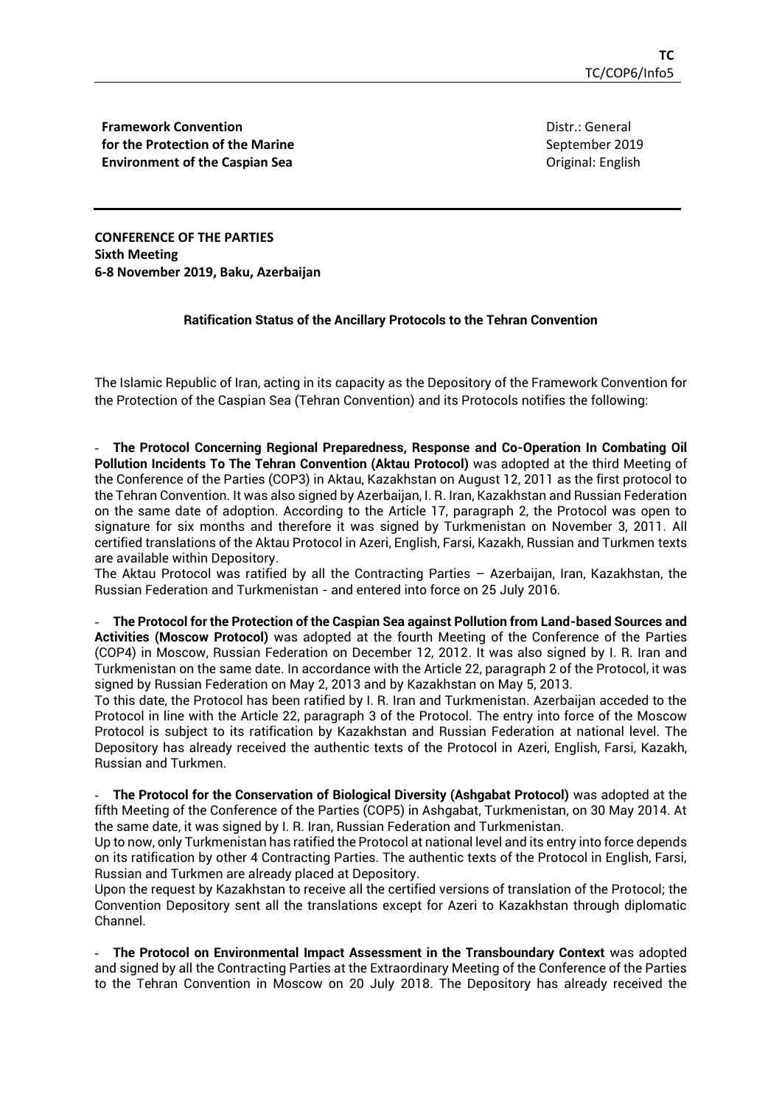**Framework Convention for the Protection of the Marine Environment of the Caspian Sea**

Distr.: General September 2019 Original: English

**CONFERENCE OF THE PARTIES Sixth Meeting 6-8 November 2019, Baku, Azerbaijan**

## **Ratification Status of the Ancillary Protocols to the Tehran Convention**

The Islamic Republic of Iran, acting in its capacity as the Depository of the Framework Convention for the Protection of the Caspian Sea (Tehran Convention) and its Protocols notifies the following:

- **The Protocol Concerning Regional Preparedness, Response and Co-Operation In Combating Oil Pollution Incidents To The Tehran Convention (Aktau Protocol)** was adopted at the third Meeting of the Conference of the Parties (COP3) in Aktau, Kazakhstan on August 12, 2011 as the first protocol to the Tehran Convention. It was also signed by Azerbaijan, I. R. Iran, Kazakhstan and Russian Federation on the same date of adoption. According to the Article 17, paragraph 2, the Protocol was open to signature for six months and therefore it was signed by Turkmenistan on November 3, 2011. All certified translations of the Aktau Protocol in Azeri, English, Farsi, Kazakh, Russian and Turkmen texts are available within Depository.

The Aktau Protocol was ratified by all the Contracting Parties – Azerbaijan, Iran, Kazakhstan, the Russian Federation and Turkmenistan - and entered into force on 25 July 2016.

- **The Protocol for the Protection of the Caspian Sea against Pollution from Land-based Sources and Activities (Moscow Protocol)** was adopted at the fourth Meeting of the Conference of the Parties (COP4) in Moscow, Russian Federation on December 12, 2012. It was also signed by I. R. Iran and Turkmenistan on the same date. In accordance with the Article 22, paragraph 2 of the Protocol, it was signed by Russian Federation on May 2, 2013 and by Kazakhstan on May 5, 2013.

To this date, the Protocol has been ratified by I. R. Iran and Turkmenistan. Azerbaijan acceded to the Protocol in line with the Article 22, paragraph 3 of the Protocol. The entry into force of the Moscow Protocol is subject to its ratification by Kazakhstan and Russian Federation at national level. The Depository has already received the authentic texts of the Protocol in Azeri, English, Farsi, Kazakh, Russian and Turkmen.

- **The Protocol for the Conservation of Biological Diversity (Ashgabat Protocol)** was adopted at the fifth Meeting of the Conference of the Parties (COP5) in Ashgabat, Turkmenistan, on 30 May 2014. At the same date, it was signed by I. R. Iran, Russian Federation and Turkmenistan.

Up to now, only Turkmenistan has ratified the Protocol at national level and its entry into force depends on its ratification by other 4 Contracting Parties. The authentic texts of the Protocol in English, Farsi, Russian and Turkmen are already placed at Depository.

Upon the request by Kazakhstan to receive all the certified versions of translation of the Protocol; the Convention Depository sent all the translations except for Azeri to Kazakhstan through diplomatic Channel.

- **The Protocol on Environmental Impact Assessment in the Transboundary Context** was adopted and signed by all the Contracting Parties at the Extraordinary Meeting of the Conference of the Parties to the Tehran Convention in Moscow on 20 July 2018. The Depository has already received the